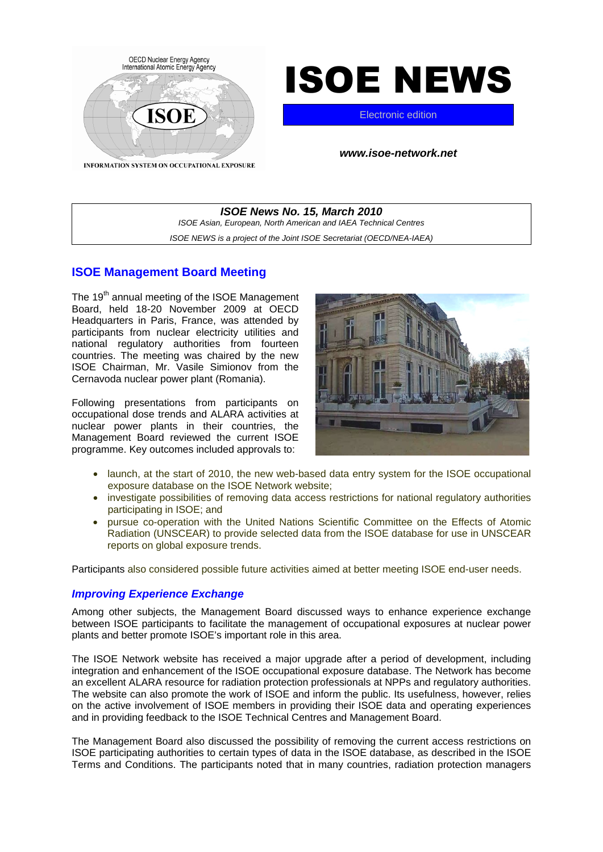



Electronic edition

*www.isoe-network.net*

*ISOE News No. 15, March 2010 ISOE Asian, European, North American and IAEA Technical Centres ISOE NEWS is a project of the Joint ISOE Secretariat (OECD/NEA-IAEA)*

# **ISOE Management Board Meeting**

The 19<sup>th</sup> annual meeting of the ISOE Management Board, held 18-20 November 2009 at OECD Headquarters in Paris, France, was attended by participants from nuclear electricity utilities and national regulatory authorities from fourteen countries. The meeting was chaired by the new ISOE Chairman, Mr. Vasile Simionov from the Cernavoda nuclear power plant (Romania).

Following presentations from participants on occupational dose trends and ALARA activities at nuclear power plants in their countries, the Management Board reviewed the current ISOE programme. Key outcomes included approvals to:



- launch, at the start of 2010, the new web-based data entry system for the ISOE occupational exposure database on the ISOE Network website;
- investigate possibilities of removing data access restrictions for national regulatory authorities participating in ISOE; and
- pursue co-operation with the United Nations Scientific Committee on the Effects of Atomic Radiation (UNSCEAR) to provide selected data from the ISOE database for use in UNSCEAR reports on global exposure trends.

Participants also considered possible future activities aimed at better meeting ISOE end-user needs.

### *Improving Experience Exchange*

Among other subjects, the Management Board discussed ways to enhance experience exchange between ISOE participants to facilitate the management of occupational exposures at nuclear power plants and better promote ISOE's important role in this area.

The ISOE Network website has received a major upgrade after a period of development, including integration and enhancement of the ISOE occupational exposure database. The Network has become an excellent ALARA resource for radiation protection professionals at NPPs and regulatory authorities. The website can also promote the work of ISOE and inform the public. Its usefulness, however, relies on the active involvement of ISOE members in providing their ISOE data and operating experiences and in providing feedback to the ISOE Technical Centres and Management Board.

The Management Board also discussed the possibility of removing the current access restrictions on ISOE participating authorities to certain types of data in the ISOE database, as described in the ISOE Terms and Conditions. The participants noted that in many countries, radiation protection managers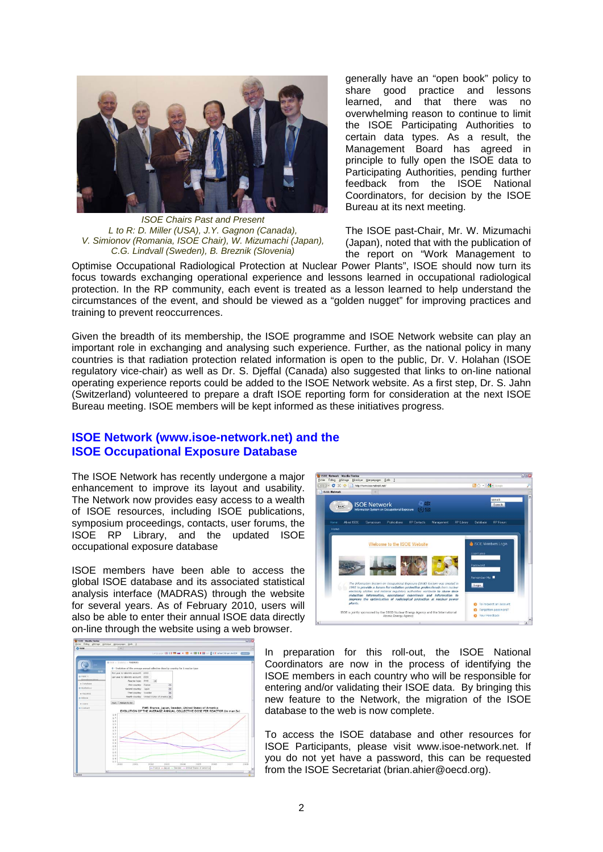

*ISOE Chairs Past and Present L to R: D. Miller (USA), J.Y. Gagnon (Canada), V. Simionov (Romania, ISOE Chair), W. Mizumachi (Japan), C.G. Lindvall (Sweden), B. Breznik (Slovenia)*

generally have an "open book" policy to share good practice and lessons learned, and that there was no overwhelming reason to continue to limit the ISOE Participating Authorities to certain data types. As a result, the Management Board has agreed in principle to fully open the ISOE data to Participating Authorities, pending further feedback from the ISOE National Coordinators, for decision by the ISOE Bureau at its next meeting.

The ISOE past-Chair, Mr. W. Mizumachi (Japan), noted that with the publication of the report on "Work Management to

Optimise Occupational Radiological Protection at Nuclear Power Plants", ISOE should now turn its focus towards exchanging operational experience and lessons learned in occupational radiological protection. In the RP community, each event is treated as a lesson learned to help understand the circumstances of the event, and should be viewed as a "golden nugget" for improving practices and training to prevent reoccurrences.

Given the breadth of its membership, the ISOE programme and ISOE Network website can play an important role in exchanging and analysing such experience. Further, as the national policy in many countries is that radiation protection related information is open to the public, Dr. V. Holahan (ISOE regulatory vice-chair) as well as Dr. S. Djeffal (Canada) also suggested that links to on-line national operating experience reports could be added to the ISOE Network website. As a first step, Dr. S. Jahn (Switzerland) volunteered to prepare a draft ISOE reporting form for consideration at the next ISOE Bureau meeting. ISOE members will be kept informed as these initiatives progress.

### **ISOE Network (www.isoe-network.net) and the ISOE Occupational Exposure Database**

The ISOE Network has recently undergone a major enhancement to improve its layout and usability. The Network now provides easy access to a wealth of ISOE resources, including ISOE publications, symposium proceedings, contacts, user forums, the ISOE RP Library, and the updated ISOE occupational exposure database

ISOE members have been able to access the global ISOE database and its associated statistical analysis interface (MADRAS) through the website for several years. As of February 2010, users will also be able to enter their annual ISOE data directly on-line through the website using a web browser.

| <b>ISOE Network - Mozilla Firefox</b><br>Echier Edition Affichage Historique Marquegages (Jutils ?                                                                                                                                                                                                                   |                                      | 日回客 |
|----------------------------------------------------------------------------------------------------------------------------------------------------------------------------------------------------------------------------------------------------------------------------------------------------------------------|--------------------------------------|-----|
| C X O B Nfp://www.isce.network.net/                                                                                                                                                                                                                                                                                  | <b>图 ☆ - 4-0000</b>                  |     |
| <b>ISOE Network</b><br>×.                                                                                                                                                                                                                                                                                            |                                      |     |
| <b>ORIGIN</b><br><b>ISOE Network</b><br><b>ISOE</b><br>Information System on Occupational Exposure<br>$\omega$                                                                                                                                                                                                       | search<br>Search                     |     |
| About ISOE<br><b>Symposium</b><br><b>Publications</b><br><b>RP Contacts</b><br>Management<br><b>RP Library</b><br>Home                                                                                                                                                                                               | <b>RP Forum</b><br>Database          |     |
| Home                                                                                                                                                                                                                                                                                                                 |                                      |     |
|                                                                                                                                                                                                                                                                                                                      |                                      |     |
| Welcome to the ISOE Website                                                                                                                                                                                                                                                                                          | ISOE Members Login                   |     |
|                                                                                                                                                                                                                                                                                                                      | Usemame                              |     |
|                                                                                                                                                                                                                                                                                                                      | Password                             |     |
|                                                                                                                                                                                                                                                                                                                      |                                      |     |
|                                                                                                                                                                                                                                                                                                                      | Remember Me                          |     |
| The Information System on Occupational Exposure (ISOE) System was created in<br>1992 to provide a forum for radiation protection professionals from nuclear<br>electricity utilities and national regulatory authorities worldwide to share dose<br>reduction information, operational experience and information to | Login                                |     |
| improve the optimisation of radiological protection at nuclear power<br>plants.                                                                                                                                                                                                                                      | To request an account                |     |
| ISOE is jointly sponsored by the OECD Nuclear Energy Agency and the International<br>Atomic Energy Agency                                                                                                                                                                                                            | Forgotten password?<br>Your Feedback |     |
| $\sim$                                                                                                                                                                                                                                                                                                               |                                      | د   |

|                       | $E \cap V$<br>Echier Edico Affichage Historiam Marampagni Dulli 2                                                            |
|-----------------------|------------------------------------------------------------------------------------------------------------------------------|
| $D$ is or             | w                                                                                                                            |
|                       | Linguage 08 13 M = + = < = x 18 13 = in @13 (ahier) brian retire distant                                                     |
|                       |                                                                                                                              |
|                       | <b>B</b> TOOC = Statistics = MADRAS                                                                                          |
|                       | O - Evolution of the average annual collective dose by country for 1 reactor type                                            |
| root                  | First year to take into account: (2000)                                                                                      |
| <b>Q ISOE 1</b>       | Last year to take into account: 2009.                                                                                        |
| <b>Duastians also</b> | Reactor type: PWR<br>$\sim$                                                                                                  |
| · Database            | First country: France                                                                                                        |
| <b>G Statistics</b>   | Second country: Japan                                                                                                        |
| $-$ <b>HADRAS</b>     | G<br>Thed country: Sweden                                                                                                    |
| <b>D</b> Admin        | Fourth country: United States of America [w]                                                                                 |
| * Stere               | <b>Run Return to list</b>                                                                                                    |
| <b>Q Contact</b>      | PWR: France, Japan, Sweden, United States of America                                                                         |
|                       | EVOLUTION OF THE AVERAGE ANNUAL COLLECTIVE DOSE PER REACTOR (in man.Sv)                                                      |
|                       | 1.8                                                                                                                          |
|                       | 1.7<br>16                                                                                                                    |
|                       |                                                                                                                              |
|                       | 15                                                                                                                           |
|                       | 1.4                                                                                                                          |
|                       | 1.3                                                                                                                          |
|                       | 12<br>2.3                                                                                                                    |
|                       | 1.0                                                                                                                          |
|                       | 0.9<br>O.B                                                                                                                   |
|                       | 0.7                                                                                                                          |
|                       | 0.6                                                                                                                          |
|                       | 0.5<br>0.4                                                                                                                   |
|                       | 0.3                                                                                                                          |
|                       | 2001<br>2002<br>2004<br>2007<br>2008<br>2003<br>2005<br>2006<br>2000<br>-France - Japan - Sweden - United States of America: |

In preparation for this roll-out, the ISOE National Coordinators are now in the process of identifying the ISOE members in each country who will be responsible for entering and/or validating their ISOE data. By bringing this new feature to the Network, the migration of the ISOE database to the web is now complete.

To access the ISOE database and other resources for ISOE Participants, please visit www.isoe-network.net. If you do not yet have a password, this can be requested from the ISOE Secretariat (brian.ahier@oecd.org).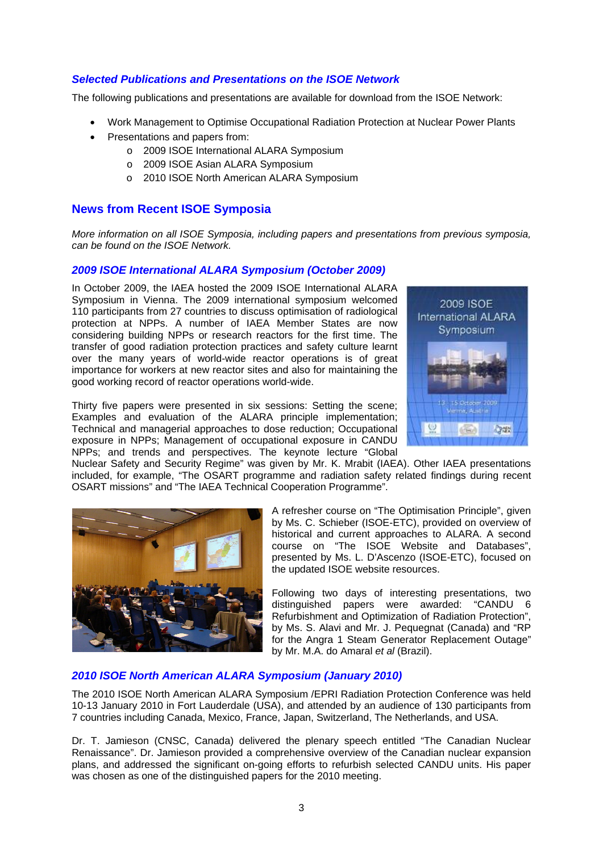#### *Selected Publications and Presentations on the ISOE Network*

The following publications and presentations are available for download from the ISOE Network:

- Work Management to Optimise Occupational Radiation Protection at Nuclear Power Plants
- Presentations and papers from:
	- o 2009 ISOE International ALARA Symposium
	- o 2009 ISOE Asian ALARA Symposium
	- o 2010 ISOE North American ALARA Symposium

### **News from Recent ISOE Symposia**

*More information on all ISOE Symposia, including papers and presentations from previous symposia, can be found on the ISOE Network.*

#### *2009 ISOE International ALARA Symposium (October 2009)*

In October 2009, the IAEA hosted the 2009 ISOE International ALARA Symposium in Vienna. The 2009 international symposium welcomed 110 participants from 27 countries to discuss optimisation of radiological protection at NPPs. A number of IAEA Member States are now considering building NPPs or research reactors for the first time. The transfer of good radiation protection practices and safety culture learnt over the many years of world-wide reactor operations is of great importance for workers at new reactor sites and also for maintaining the good working record of reactor operations world-wide.

Thirty five papers were presented in six sessions: Setting the scene; Examples and evaluation of the ALARA principle implementation; Technical and managerial approaches to dose reduction; Occupational exposure in NPPs; Management of occupational exposure in CANDU NPPs; and trends and perspectives. The keynote lecture "Global



Nuclear Safety and Security Regime" was given by Mr. K. Mrabit (IAEA). Other IAEA presentations included, for example, "The OSART programme and radiation safety related findings during recent OSART missions" and "The IAEA Technical Cooperation Programme".



A refresher course on "The Optimisation Principle", given by Ms. C. Schieber (ISOE-ETC), provided on overview of historical and current approaches to ALARA. A second course on "The ISOE Website and Databases", presented by Ms. L. D'Ascenzo (ISOE-ETC), focused on the updated ISOE website resources.

Following two days of interesting presentations, two distinguished papers were awarded: "CANDU 6 Refurbishment and Optimization of Radiation Protection", by Ms. S. Alavi and Mr. J. Pequegnat (Canada) and "RP for the Angra 1 Steam Generator Replacement Outage" by Mr. M.A. do Amaral *et al* (Brazil).

### *2010 ISOE North American ALARA Symposium (January 2010)*

The 2010 ISOE North American ALARA Symposium /EPRI Radiation Protection Conference was held 10-13 January 2010 in Fort Lauderdale (USA), and attended by an audience of 130 participants from 7 countries including Canada, Mexico, France, Japan, Switzerland, The Netherlands, and USA.

Dr. T. Jamieson (CNSC, Canada) delivered the plenary speech entitled "The Canadian Nuclear Renaissance". Dr. Jamieson provided a comprehensive overview of the Canadian nuclear expansion plans, and addressed the significant on-going efforts to refurbish selected CANDU units. His paper was chosen as one of the distinguished papers for the 2010 meeting.